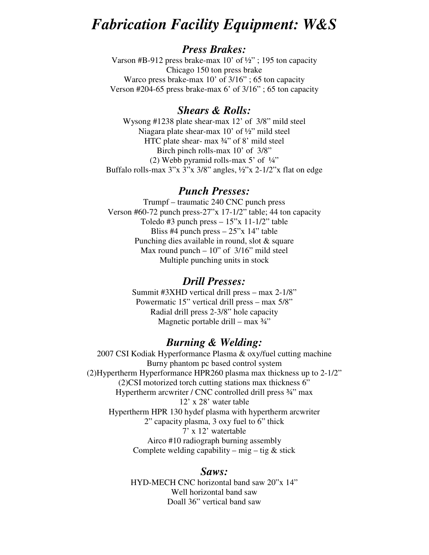# *Fabrication Facility Equipment: W&S*

## *Press Brakes:*

Varson #B-912 press brake-max 10' of ½" ; 195 ton capacity Chicago 150 ton press brake Warco press brake-max 10' of 3/16" ; 65 ton capacity Verson #204-65 press brake-max 6' of 3/16" ; 65 ton capacity

### *Shears & Rolls:*

Wysong #1238 plate shear-max 12' of 3/8" mild steel Niagara plate shear-max 10' of ½" mild steel HTC plate shear- max ¾" of 8' mild steel Birch pinch rolls-max 10' of 3/8" (2) Webb pyramid rolls-max  $5'$  of  $\frac{1}{4}$ " Buffalo rolls-max  $3''x$   $3''x$   $3/8''$  angles,  $\frac{1}{2}x$   $2-\frac{1}{2}x$  flat on edge

### *Punch Presses:*

Trumpf – traumatic 240 CNC punch press Verson #60-72 punch press-27"x 17-1/2" table; 44 ton capacity Toledo #3 punch press  $-15$ " x 11-1/2" table Bliss #4 punch press  $-25$ "x 14" table Punching dies available in round, slot & square Max round punch  $-10$ " of  $3/16$ " mild steel Multiple punching units in stock

#### *Drill Presses:*

Summit #3XHD vertical drill press – max 2-1/8" Powermatic 15" vertical drill press – max 5/8" Radial drill press 2-3/8" hole capacity Magnetic portable drill – max  $\frac{3}{4}$ "

### *Burning & Welding:*

2007 CSI Kodiak Hyperformance Plasma & oxy/fuel cutting machine Burny phantom pc based control system (2)Hypertherm Hyperformance HPR260 plasma max thickness up to 2-1/2" (2)CSI motorized torch cutting stations max thickness 6" Hypertherm arcwriter / CNC controlled drill press 3/4" max 12' x 28' water table Hypertherm HPR 130 hydef plasma with hypertherm arcwriter 2" capacity plasma, 3 oxy fuel to 6" thick 7' x 12' watertable Airco #10 radiograph burning assembly Complete welding capability – mig – tig  $&$  stick

#### *Saws:*

HYD-MECH CNC horizontal band saw 20"x 14" Well horizontal band saw Doall 36" vertical band saw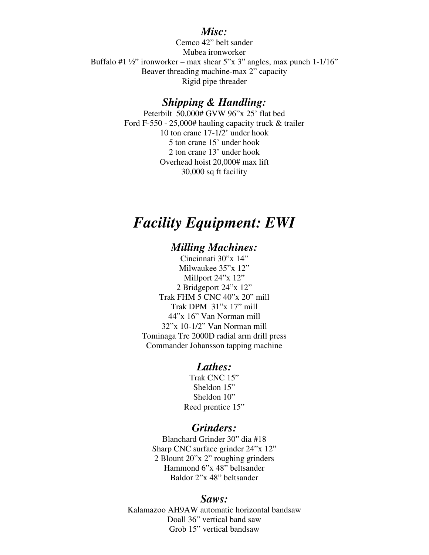### *Misc:*

Cemco 42" belt sander Mubea ironworker Buffalo #1  $\frac{1}{2}$ " ironworker – max shear 5"x 3" angles, max punch 1-1/16" Beaver threading machine-max 2" capacity Rigid pipe threader

### *Shipping & Handling:*

Peterbilt 50,000# GVW 96"x 25' flat bed Ford F-550 - 25,000# hauling capacity truck & trailer 10 ton crane 17-1/2' under hook 5 ton crane 15' under hook 2 ton crane 13' under hook Overhead hoist 20,000# max lift 30,000 sq ft facility

# *Facility Equipment: EWI*

## *Milling Machines:*

Cincinnati 30"x 14" Milwaukee 35"x 12" Millport 24"x 12" 2 Bridgeport 24"x 12" Trak FHM 5 CNC 40"x 20" mill Trak DPM 31"x 17" mill 44"x 16" Van Norman mill 32"x 10-1/2" Van Norman mill Tominaga Tre 2000D radial arm drill press Commander Johansson tapping machine

### *Lathes:*

Trak CNC 15" Sheldon 15" Sheldon 10" Reed prentice 15"

### *Grinders:*

Blanchard Grinder 30" dia #18 Sharp CNC surface grinder 24"x 12" 2 Blount 20"x 2" roughing grinders Hammond 6"x 48" beltsander Baldor 2"x 48" beltsander

#### *Saws:*

Kalamazoo AH9AW automatic horizontal bandsaw Doall 36" vertical band saw Grob 15" vertical bandsaw